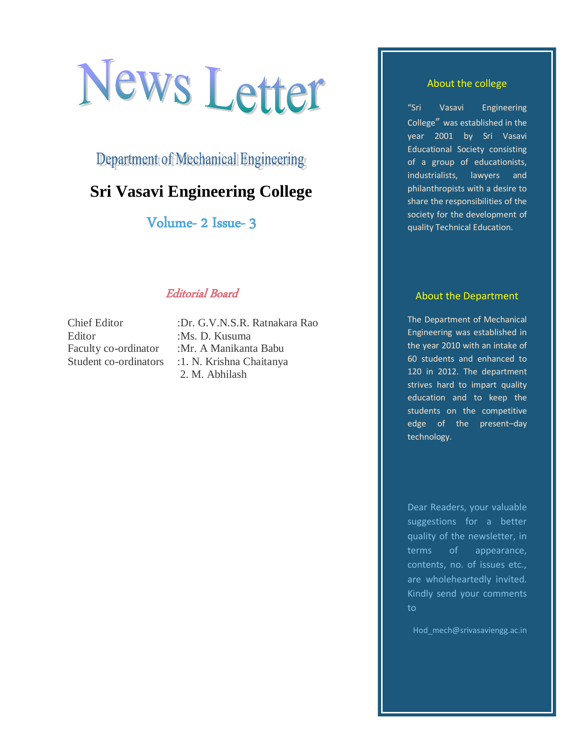# News Letter

Department of Mechanical Engineering

# **Sri Vasavi Engineering College**

Volume- 2 Issue- 3

# Editorial Board

Editor :Ms. D. Kusuma

Chief Editor :Dr. G.V.N.S.R. Ratnakara Rao Faculty co-ordinator :Mr. A Manikanta Babu Student co-ordinators : 1. N. Krishna Chaitanya 2. M. Abhilash

#### About the college

"Sri Vasavi Engineering College" was established in the year 2001 by Sri Vasavi Educational Society consisting of a group of educationists, industrialists, lawyers and philanthropists with a desire to share the responsibilities of the society for the development of quality Technical Education.

#### About the Department

The Department of Mechanical Engineering was established in the year 2010 with an intake of 60 students and enhanced to 120 in 2012. The department strives hard to impart quality education and to keep the students on the competitive edge of the present–day technology.

Dear Readers, your valuable suggestions for a better quality of the newsletter, in terms of appearance, contents, no. of issues etc., are wholeheartedly invited. Kindly send your comments to

Hod mech@srivasaviengg.ac.in